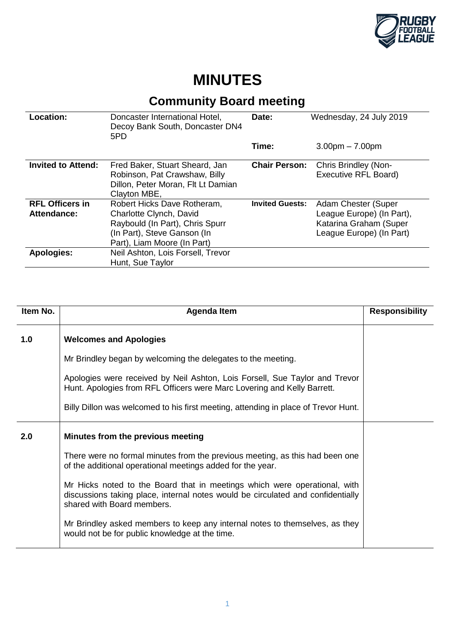

## **MINUTES**

## **Community Board meeting**

| Location:                             | Doncaster International Hotel,<br>Decoy Bank South, Doncaster DN4<br>5PD                                                                                | Date:                  | Wednesday, 24 July 2019                                                                                |
|---------------------------------------|---------------------------------------------------------------------------------------------------------------------------------------------------------|------------------------|--------------------------------------------------------------------------------------------------------|
|                                       |                                                                                                                                                         | Time:                  | $3.00pm - 7.00pm$                                                                                      |
| <b>Invited to Attend:</b>             | Fred Baker, Stuart Sheard, Jan<br>Robinson, Pat Crawshaw, Billy<br>Dillon, Peter Moran, Flt Lt Damian<br>Clayton MBE,                                   | <b>Chair Person:</b>   | Chris Brindley (Non-<br>Executive RFL Board)                                                           |
| <b>RFL Officers in</b><br>Attendance: | Robert Hicks Dave Rotheram,<br>Charlotte Clynch, David<br>Raybould (In Part), Chris Spurr<br>(In Part), Steve Ganson (In<br>Part), Liam Moore (In Part) | <b>Invited Guests:</b> | Adam Chester (Super<br>League Europe) (In Part),<br>Katarina Graham (Super<br>League Europe) (In Part) |
| <b>Apologies:</b>                     | Neil Ashton, Lois Forsell, Trevor<br>Hunt, Sue Taylor                                                                                                   |                        |                                                                                                        |

| Item No. | <b>Agenda Item</b>                                                                                                                                                                         | <b>Responsibility</b> |
|----------|--------------------------------------------------------------------------------------------------------------------------------------------------------------------------------------------|-----------------------|
| 1.0      | <b>Welcomes and Apologies</b>                                                                                                                                                              |                       |
|          | Mr Brindley began by welcoming the delegates to the meeting.                                                                                                                               |                       |
|          | Apologies were received by Neil Ashton, Lois Forsell, Sue Taylor and Trevor<br>Hunt. Apologies from RFL Officers were Marc Lovering and Kelly Barrett.                                     |                       |
|          | Billy Dillon was welcomed to his first meeting, attending in place of Trevor Hunt.                                                                                                         |                       |
| 2.0      | Minutes from the previous meeting                                                                                                                                                          |                       |
|          | There were no formal minutes from the previous meeting, as this had been one<br>of the additional operational meetings added for the year.                                                 |                       |
|          | Mr Hicks noted to the Board that in meetings which were operational, with<br>discussions taking place, internal notes would be circulated and confidentially<br>shared with Board members. |                       |
|          | Mr Brindley asked members to keep any internal notes to themselves, as they<br>would not be for public knowledge at the time.                                                              |                       |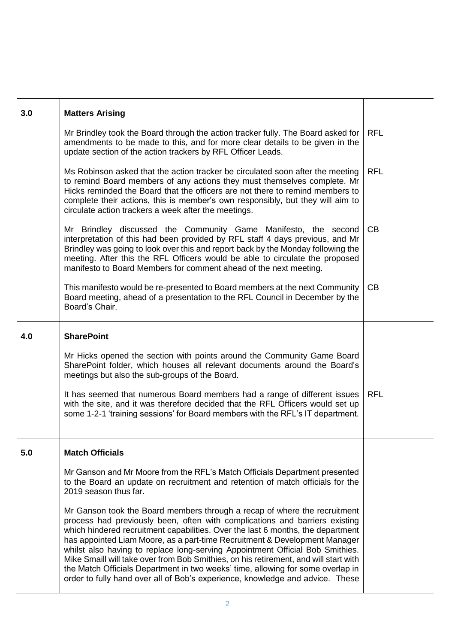| 3.0 | <b>Matters Arising</b>                                                                                                                                                                                                                                                                                                                                                                                                                                                                                                                                                                                                                                                 |            |
|-----|------------------------------------------------------------------------------------------------------------------------------------------------------------------------------------------------------------------------------------------------------------------------------------------------------------------------------------------------------------------------------------------------------------------------------------------------------------------------------------------------------------------------------------------------------------------------------------------------------------------------------------------------------------------------|------------|
|     | Mr Brindley took the Board through the action tracker fully. The Board asked for<br>amendments to be made to this, and for more clear details to be given in the<br>update section of the action trackers by RFL Officer Leads.                                                                                                                                                                                                                                                                                                                                                                                                                                        | <b>RFL</b> |
|     | Ms Robinson asked that the action tracker be circulated soon after the meeting<br>to remind Board members of any actions they must themselves complete. Mr<br>Hicks reminded the Board that the officers are not there to remind members to<br>complete their actions, this is member's own responsibly, but they will aim to<br>circulate action trackers a week after the meetings.                                                                                                                                                                                                                                                                                  | <b>RFL</b> |
|     | Mr Brindley discussed the Community Game Manifesto, the second<br>interpretation of this had been provided by RFL staff 4 days previous, and Mr<br>Brindley was going to look over this and report back by the Monday following the<br>meeting. After this the RFL Officers would be able to circulate the proposed<br>manifesto to Board Members for comment ahead of the next meeting.                                                                                                                                                                                                                                                                               | CB         |
|     | This manifesto would be re-presented to Board members at the next Community<br>Board meeting, ahead of a presentation to the RFL Council in December by the<br>Board's Chair.                                                                                                                                                                                                                                                                                                                                                                                                                                                                                          | CB         |
| 4.0 | <b>SharePoint</b>                                                                                                                                                                                                                                                                                                                                                                                                                                                                                                                                                                                                                                                      |            |
|     | Mr Hicks opened the section with points around the Community Game Board<br>SharePoint folder, which houses all relevant documents around the Board's<br>meetings but also the sub-groups of the Board.                                                                                                                                                                                                                                                                                                                                                                                                                                                                 |            |
|     | It has seemed that numerous Board members had a range of different issues<br>with the site, and it was therefore decided that the RFL Officers would set up<br>some 1-2-1 'training sessions' for Board members with the RFL's IT department.                                                                                                                                                                                                                                                                                                                                                                                                                          | <b>RFL</b> |
| 5.0 | <b>Match Officials</b>                                                                                                                                                                                                                                                                                                                                                                                                                                                                                                                                                                                                                                                 |            |
|     | Mr Ganson and Mr Moore from the RFL's Match Officials Department presented<br>to the Board an update on recruitment and retention of match officials for the<br>2019 season thus far.                                                                                                                                                                                                                                                                                                                                                                                                                                                                                  |            |
|     | Mr Ganson took the Board members through a recap of where the recruitment<br>process had previously been, often with complications and barriers existing<br>which hindered recruitment capabilities. Over the last 6 months, the department<br>has appointed Liam Moore, as a part-time Recruitment & Development Manager<br>whilst also having to replace long-serving Appointment Official Bob Smithies.<br>Mike Smaill will take over from Bob Smithies, on his retirement, and will start with<br>the Match Officials Department in two weeks' time, allowing for some overlap in<br>order to fully hand over all of Bob's experience, knowledge and advice. These |            |

Τ

Τ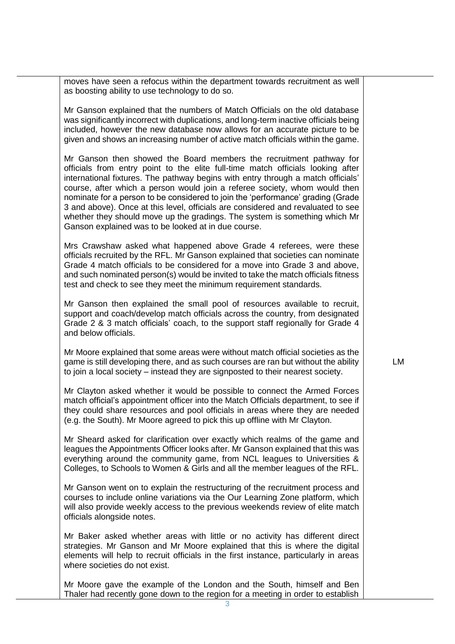moves have seen a refocus within the department towards recruitment as well as boosting ability to use technology to do so.

Mr Ganson explained that the numbers of Match Officials on the old database was significantly incorrect with duplications, and long-term inactive officials being included, however the new database now allows for an accurate picture to be given and shows an increasing number of active match officials within the game.

Mr Ganson then showed the Board members the recruitment pathway for officials from entry point to the elite full-time match officials looking after international fixtures. The pathway begins with entry through a match officials' course, after which a person would join a referee society, whom would then nominate for a person to be considered to join the 'performance' grading (Grade 3 and above). Once at this level, officials are considered and revaluated to see whether they should move up the gradings. The system is something which Mr Ganson explained was to be looked at in due course.

Mrs Crawshaw asked what happened above Grade 4 referees, were these officials recruited by the RFL. Mr Ganson explained that societies can nominate Grade 4 match officials to be considered for a move into Grade 3 and above, and such nominated person(s) would be invited to take the match officials fitness test and check to see they meet the minimum requirement standards.

Mr Ganson then explained the small pool of resources available to recruit, support and coach/develop match officials across the country, from designated Grade 2 & 3 match officials' coach, to the support staff regionally for Grade 4 and below officials.

Mr Moore explained that some areas were without match official societies as the game is still developing there, and as such courses are ran but without the ability to join a local society – instead they are signposted to their nearest society.

Mr Clayton asked whether it would be possible to connect the Armed Forces match official's appointment officer into the Match Officials department, to see if they could share resources and pool officials in areas where they are needed (e.g. the South). Mr Moore agreed to pick this up offline with Mr Clayton.

Mr Sheard asked for clarification over exactly which realms of the game and leagues the Appointments Officer looks after. Mr Ganson explained that this was everything around the community game, from NCL leagues to Universities & Colleges, to Schools to Women & Girls and all the member leagues of the RFL.

Mr Ganson went on to explain the restructuring of the recruitment process and courses to include online variations via the Our Learning Zone platform, which will also provide weekly access to the previous weekends review of elite match officials alongside notes.

Mr Baker asked whether areas with little or no activity has different direct strategies. Mr Ganson and Mr Moore explained that this is where the digital elements will help to recruit officials in the first instance, particularly in areas where societies do not exist.

Mr Moore gave the example of the London and the South, himself and Ben Thaler had recently gone down to the region for a meeting in order to establish

LM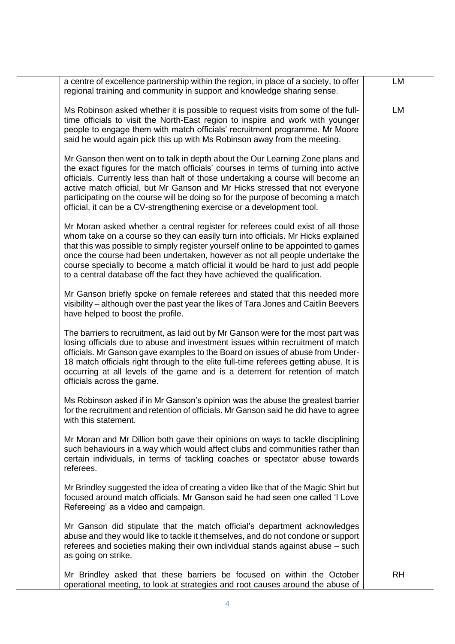| a centre of excellence partnership within the region, in place of a society, to offer<br>regional training and community in support and knowledge sharing sense.                                                                                                                                                                                                                                                                                                                                         | LM        |
|----------------------------------------------------------------------------------------------------------------------------------------------------------------------------------------------------------------------------------------------------------------------------------------------------------------------------------------------------------------------------------------------------------------------------------------------------------------------------------------------------------|-----------|
| Ms Robinson asked whether it is possible to request visits from some of the full-<br>time officials to visit the North-East region to inspire and work with younger<br>people to engage them with match officials' recruitment programme. Mr Moore<br>said he would again pick this up with Ms Robinson away from the meeting.                                                                                                                                                                           | LM        |
| Mr Ganson then went on to talk in depth about the Our Learning Zone plans and<br>the exact figures for the match officials' courses in terms of turning into active<br>officials. Currently less than half of those undertaking a course will become an<br>active match official, but Mr Ganson and Mr Hicks stressed that not everyone<br>participating on the course will be doing so for the purpose of becoming a match<br>official, it can be a CV-strengthening exercise or a development tool.    |           |
| Mr Moran asked whether a central register for referees could exist of all those<br>whom take on a course so they can easily turn into officials. Mr Hicks explained<br>that this was possible to simply register yourself online to be appointed to games<br>once the course had been undertaken, however as not all people undertake the<br>course specially to become a match official it would be hard to just add people<br>to a central database off the fact they have achieved the qualification. |           |
| Mr Ganson briefly spoke on female referees and stated that this needed more<br>visibility – although over the past year the likes of Tara Jones and Caitlin Beevers<br>have helped to boost the profile.                                                                                                                                                                                                                                                                                                 |           |
| The barriers to recruitment, as laid out by Mr Ganson were for the most part was<br>losing officials due to abuse and investment issues within recruitment of match<br>officials. Mr Ganson gave examples to the Board on issues of abuse from Under-<br>18 match officials right through to the elite full-time referees getting abuse. It is<br>occurring at all levels of the game and is a deterrent for retention of match<br>officials across the game.                                            |           |
| Ms Robinson asked if in Mr Ganson's opinion was the abuse the greatest barrier<br>for the recruitment and retention of officials. Mr Ganson said he did have to agree<br>with this statement.                                                                                                                                                                                                                                                                                                            |           |
| Mr Moran and Mr Dillion both gave their opinions on ways to tackle disciplining<br>such behaviours in a way which would affect clubs and communities rather than<br>certain individuals, in terms of tackling coaches or spectator abuse towards<br>referees.                                                                                                                                                                                                                                            |           |
| Mr Brindley suggested the idea of creating a video like that of the Magic Shirt but<br>focused around match officials. Mr Ganson said he had seen one called 'I Love<br>Refereeing' as a video and campaign.                                                                                                                                                                                                                                                                                             |           |
| Mr Ganson did stipulate that the match official's department acknowledges<br>abuse and they would like to tackle it themselves, and do not condone or support<br>referees and societies making their own individual stands against abuse - such<br>as going on strike.                                                                                                                                                                                                                                   |           |
| Mr Brindley asked that these barriers be focused on within the October<br>operational meeting, to look at strategies and root causes around the abuse of                                                                                                                                                                                                                                                                                                                                                 | <b>RH</b> |

4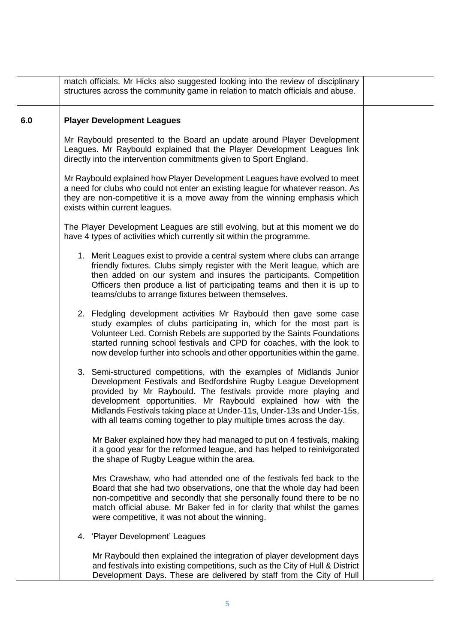|     | match officials. Mr Hicks also suggested looking into the review of disciplinary<br>structures across the community game in relation to match officials and abuse.                                                                                                                                                                                                                                                              |  |
|-----|---------------------------------------------------------------------------------------------------------------------------------------------------------------------------------------------------------------------------------------------------------------------------------------------------------------------------------------------------------------------------------------------------------------------------------|--|
| 6.0 | <b>Player Development Leagues</b>                                                                                                                                                                                                                                                                                                                                                                                               |  |
|     | Mr Raybould presented to the Board an update around Player Development<br>Leagues. Mr Raybould explained that the Player Development Leagues link<br>directly into the intervention commitments given to Sport England.                                                                                                                                                                                                         |  |
|     | Mr Raybould explained how Player Development Leagues have evolved to meet<br>a need for clubs who could not enter an existing league for whatever reason. As<br>they are non-competitive it is a move away from the winning emphasis which<br>exists within current leagues.                                                                                                                                                    |  |
|     | The Player Development Leagues are still evolving, but at this moment we do<br>have 4 types of activities which currently sit within the programme.                                                                                                                                                                                                                                                                             |  |
|     | 1. Merit Leagues exist to provide a central system where clubs can arrange<br>friendly fixtures. Clubs simply register with the Merit league, which are<br>then added on our system and insures the participants. Competition<br>Officers then produce a list of participating teams and then it is up to<br>teams/clubs to arrange fixtures between themselves.                                                                |  |
|     | 2. Fledgling development activities Mr Raybould then gave some case<br>study examples of clubs participating in, which for the most part is<br>Volunteer Led. Cornish Rebels are supported by the Saints Foundations<br>started running school festivals and CPD for coaches, with the look to<br>now develop further into schools and other opportunities within the game.                                                     |  |
|     | 3. Semi-structured competitions, with the examples of Midlands Junior<br>Development Festivals and Bedfordshire Rugby League Development<br>provided by Mr Raybould. The festivals provide more playing and<br>development opportunities. Mr Raybould explained how with the<br>Midlands Festivals taking place at Under-11s, Under-13s and Under-15s,<br>with all teams coming together to play multiple times across the day. |  |
|     | Mr Baker explained how they had managed to put on 4 festivals, making<br>it a good year for the reformed league, and has helped to reinivigorated<br>the shape of Rugby League within the area.                                                                                                                                                                                                                                 |  |
|     | Mrs Crawshaw, who had attended one of the festivals fed back to the<br>Board that she had two observations, one that the whole day had been<br>non-competitive and secondly that she personally found there to be no<br>match official abuse. Mr Baker fed in for clarity that whilst the games<br>were competitive, it was not about the winning.                                                                              |  |
|     | 4. 'Player Development' Leagues                                                                                                                                                                                                                                                                                                                                                                                                 |  |
|     | Mr Raybould then explained the integration of player development days<br>and festivals into existing competitions, such as the City of Hull & District<br>Development Days. These are delivered by staff from the City of Hull                                                                                                                                                                                                  |  |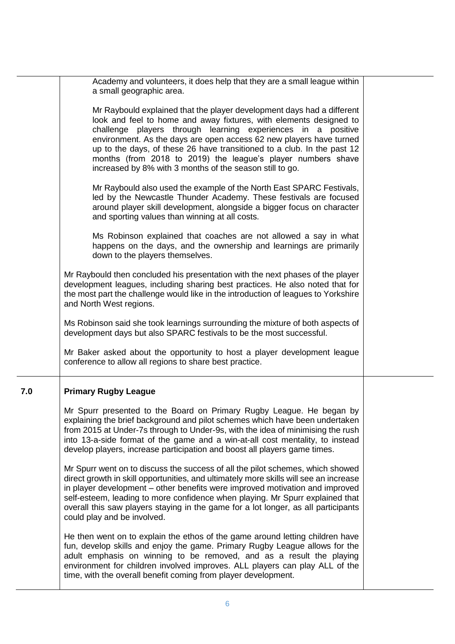|     | Academy and volunteers, it does help that they are a small league within                                                                                                                                                                                                                                                                                                                                                                                                                   |  |
|-----|--------------------------------------------------------------------------------------------------------------------------------------------------------------------------------------------------------------------------------------------------------------------------------------------------------------------------------------------------------------------------------------------------------------------------------------------------------------------------------------------|--|
|     | a small geographic area.                                                                                                                                                                                                                                                                                                                                                                                                                                                                   |  |
|     | Mr Raybould explained that the player development days had a different<br>look and feel to home and away fixtures, with elements designed to<br>challenge players through learning experiences in a positive<br>environment. As the days are open access 62 new players have turned<br>up to the days, of these 26 have transitioned to a club. In the past 12<br>months (from 2018 to 2019) the league's player numbers shave<br>increased by 8% with 3 months of the season still to go. |  |
|     | Mr Raybould also used the example of the North East SPARC Festivals,<br>led by the Newcastle Thunder Academy. These festivals are focused<br>around player skill development, alongside a bigger focus on character<br>and sporting values than winning at all costs.                                                                                                                                                                                                                      |  |
|     | Ms Robinson explained that coaches are not allowed a say in what<br>happens on the days, and the ownership and learnings are primarily<br>down to the players themselves.                                                                                                                                                                                                                                                                                                                  |  |
|     | Mr Raybould then concluded his presentation with the next phases of the player<br>development leagues, including sharing best practices. He also noted that for<br>the most part the challenge would like in the introduction of leagues to Yorkshire<br>and North West regions.                                                                                                                                                                                                           |  |
|     | Ms Robinson said she took learnings surrounding the mixture of both aspects of<br>development days but also SPARC festivals to be the most successful.                                                                                                                                                                                                                                                                                                                                     |  |
|     | Mr Baker asked about the opportunity to host a player development league<br>conference to allow all regions to share best practice.                                                                                                                                                                                                                                                                                                                                                        |  |
| 7.0 | <b>Primary Rugby League</b>                                                                                                                                                                                                                                                                                                                                                                                                                                                                |  |
|     | Mr Spurr presented to the Board on Primary Rugby League. He began by<br>explaining the brief background and pilot schemes which have been undertaken<br>from 2015 at Under-7s through to Under-9s, with the idea of minimising the rush<br>into 13-a-side format of the game and a win-at-all cost mentality, to instead<br>develop players, increase participation and boost all players game times.                                                                                      |  |
|     | Mr Spurr went on to discuss the success of all the pilot schemes, which showed<br>direct growth in skill opportunities, and ultimately more skills will see an increase<br>in player development – other benefits were improved motivation and improved<br>self-esteem, leading to more confidence when playing. Mr Spurr explained that<br>overall this saw players staying in the game for a lot longer, as all participants<br>could play and be involved.                              |  |
|     | He then went on to explain the ethos of the game around letting children have<br>fun, develop skills and enjoy the game. Primary Rugby League allows for the<br>adult emphasis on winning to be removed, and as a result the playing<br>environment for children involved improves. ALL players can play ALL of the<br>time, with the overall benefit coming from player development.                                                                                                      |  |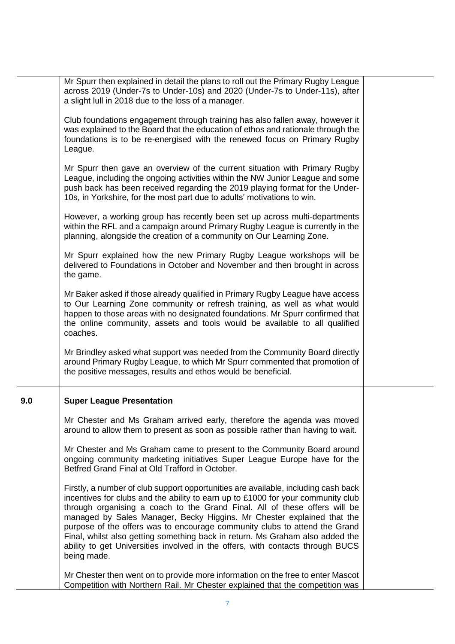|     | Mr Spurr then explained in detail the plans to roll out the Primary Rugby League<br>across 2019 (Under-7s to Under-10s) and 2020 (Under-7s to Under-11s), after<br>a slight lull in 2018 due to the loss of a manager.                                                                                                                                                                                                                                                                                                                                                                         |  |
|-----|------------------------------------------------------------------------------------------------------------------------------------------------------------------------------------------------------------------------------------------------------------------------------------------------------------------------------------------------------------------------------------------------------------------------------------------------------------------------------------------------------------------------------------------------------------------------------------------------|--|
|     | Club foundations engagement through training has also fallen away, however it<br>was explained to the Board that the education of ethos and rationale through the<br>foundations is to be re-energised with the renewed focus on Primary Rugby<br>League.                                                                                                                                                                                                                                                                                                                                      |  |
|     | Mr Spurr then gave an overview of the current situation with Primary Rugby<br>League, including the ongoing activities within the NW Junior League and some<br>push back has been received regarding the 2019 playing format for the Under-<br>10s, in Yorkshire, for the most part due to adults' motivations to win.                                                                                                                                                                                                                                                                         |  |
|     | However, a working group has recently been set up across multi-departments<br>within the RFL and a campaign around Primary Rugby League is currently in the<br>planning, alongside the creation of a community on Our Learning Zone.                                                                                                                                                                                                                                                                                                                                                           |  |
|     | Mr Spurr explained how the new Primary Rugby League workshops will be<br>delivered to Foundations in October and November and then brought in across<br>the game.                                                                                                                                                                                                                                                                                                                                                                                                                              |  |
|     | Mr Baker asked if those already qualified in Primary Rugby League have access<br>to Our Learning Zone community or refresh training, as well as what would<br>happen to those areas with no designated foundations. Mr Spurr confirmed that<br>the online community, assets and tools would be available to all qualified<br>coaches.                                                                                                                                                                                                                                                          |  |
|     | Mr Brindley asked what support was needed from the Community Board directly<br>around Primary Rugby League, to which Mr Spurr commented that promotion of<br>the positive messages, results and ethos would be beneficial.                                                                                                                                                                                                                                                                                                                                                                     |  |
| 9.0 | <b>Super League Presentation</b>                                                                                                                                                                                                                                                                                                                                                                                                                                                                                                                                                               |  |
|     | Mr Chester and Ms Graham arrived early, therefore the agenda was moved<br>around to allow them to present as soon as possible rather than having to wait.                                                                                                                                                                                                                                                                                                                                                                                                                                      |  |
|     | Mr Chester and Ms Graham came to present to the Community Board around<br>ongoing community marketing initiatives Super League Europe have for the<br>Betfred Grand Final at Old Trafford in October.                                                                                                                                                                                                                                                                                                                                                                                          |  |
|     | Firstly, a number of club support opportunities are available, including cash back<br>incentives for clubs and the ability to earn up to £1000 for your community club<br>through organising a coach to the Grand Final. All of these offers will be<br>managed by Sales Manager, Becky Higgins. Mr Chester explained that the<br>purpose of the offers was to encourage community clubs to attend the Grand<br>Final, whilst also getting something back in return. Ms Graham also added the<br>ability to get Universities involved in the offers, with contacts through BUCS<br>being made. |  |
|     | Mr Chester then went on to provide more information on the free to enter Mascot<br>Competition with Northern Rail. Mr Chester explained that the competition was                                                                                                                                                                                                                                                                                                                                                                                                                               |  |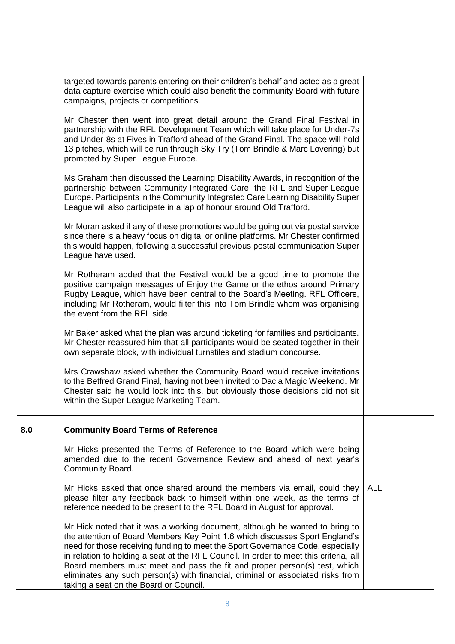|     | targeted towards parents entering on their children's behalf and acted as a great<br>data capture exercise which could also benefit the community Board with future<br>campaigns, projects or competitions.                                                                                                                                                                                                                                                                                                                                       |            |
|-----|---------------------------------------------------------------------------------------------------------------------------------------------------------------------------------------------------------------------------------------------------------------------------------------------------------------------------------------------------------------------------------------------------------------------------------------------------------------------------------------------------------------------------------------------------|------------|
|     | Mr Chester then went into great detail around the Grand Final Festival in<br>partnership with the RFL Development Team which will take place for Under-7s<br>and Under-8s at Fives in Trafford ahead of the Grand Final. The space will hold<br>13 pitches, which will be run through Sky Try (Tom Brindle & Marc Lovering) but<br>promoted by Super League Europe.                                                                                                                                                                               |            |
|     | Ms Graham then discussed the Learning Disability Awards, in recognition of the<br>partnership between Community Integrated Care, the RFL and Super League<br>Europe. Participants in the Community Integrated Care Learning Disability Super<br>League will also participate in a lap of honour around Old Trafford.                                                                                                                                                                                                                              |            |
|     | Mr Moran asked if any of these promotions would be going out via postal service<br>since there is a heavy focus on digital or online platforms. Mr Chester confirmed<br>this would happen, following a successful previous postal communication Super<br>League have used.                                                                                                                                                                                                                                                                        |            |
|     | Mr Rotheram added that the Festival would be a good time to promote the<br>positive campaign messages of Enjoy the Game or the ethos around Primary<br>Rugby League, which have been central to the Board's Meeting. RFL Officers,<br>including Mr Rotheram, would filter this into Tom Brindle whom was organising<br>the event from the RFL side.                                                                                                                                                                                               |            |
|     | Mr Baker asked what the plan was around ticketing for families and participants.<br>Mr Chester reassured him that all participants would be seated together in their<br>own separate block, with individual turnstiles and stadium concourse.                                                                                                                                                                                                                                                                                                     |            |
|     | Mrs Crawshaw asked whether the Community Board would receive invitations<br>to the Betfred Grand Final, having not been invited to Dacia Magic Weekend. Mr<br>Chester said he would look into this, but obviously those decisions did not sit<br>within the Super League Marketing Team.                                                                                                                                                                                                                                                          |            |
| 8.0 | <b>Community Board Terms of Reference</b>                                                                                                                                                                                                                                                                                                                                                                                                                                                                                                         |            |
|     | Mr Hicks presented the Terms of Reference to the Board which were being<br>amended due to the recent Governance Review and ahead of next year's<br>Community Board.                                                                                                                                                                                                                                                                                                                                                                               |            |
|     | Mr Hicks asked that once shared around the members via email, could they<br>please filter any feedback back to himself within one week, as the terms of<br>reference needed to be present to the RFL Board in August for approval.                                                                                                                                                                                                                                                                                                                | <b>ALL</b> |
|     | Mr Hick noted that it was a working document, although he wanted to bring to<br>the attention of Board Members Key Point 1.6 which discusses Sport England's<br>need for those receiving funding to meet the Sport Governance Code, especially<br>in relation to holding a seat at the RFL Council. In order to meet this criteria, all<br>Board members must meet and pass the fit and proper person(s) test, which<br>eliminates any such person(s) with financial, criminal or associated risks from<br>taking a seat on the Board or Council. |            |
|     |                                                                                                                                                                                                                                                                                                                                                                                                                                                                                                                                                   |            |